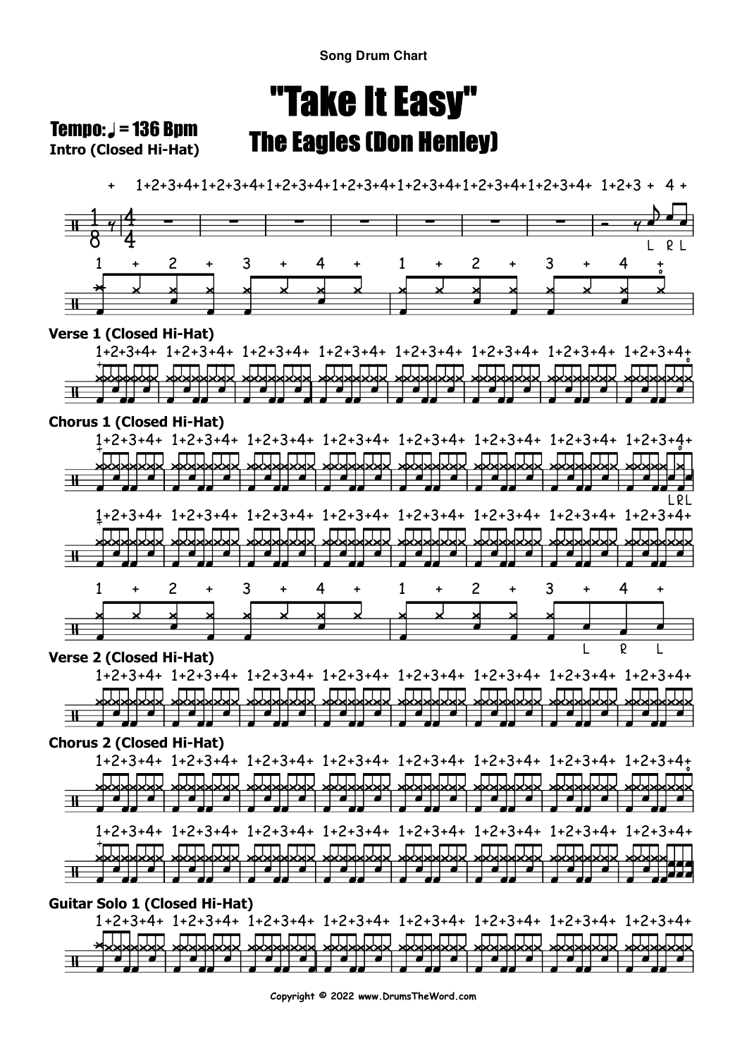# "Take It Easy"The Eagles (Don Henley)

**Intro (Closed Hi-Hat) Tempo:**  $J = 136$  Bpm

+

1+2+3+4+1+2+3+4+1+2+3+4+1+2+3+4+1+2+3+4+1+2+3+4+1+2+3+4+ 1+2+3 + 4 +



1 +2+3+4+ 1+2+3+4+ 1+2+3+4+ 1+2+3+4+ 1+2+3+4+ 1+2+3+4+ 1+2+3+4+ 1+2+3+4+ an m **JTTT** . matan . MA JAN **FEIT** ПП  $\blacksquare$  $\Box$ ना

**Copyright © 2022 www.DrumsTheWord.com**